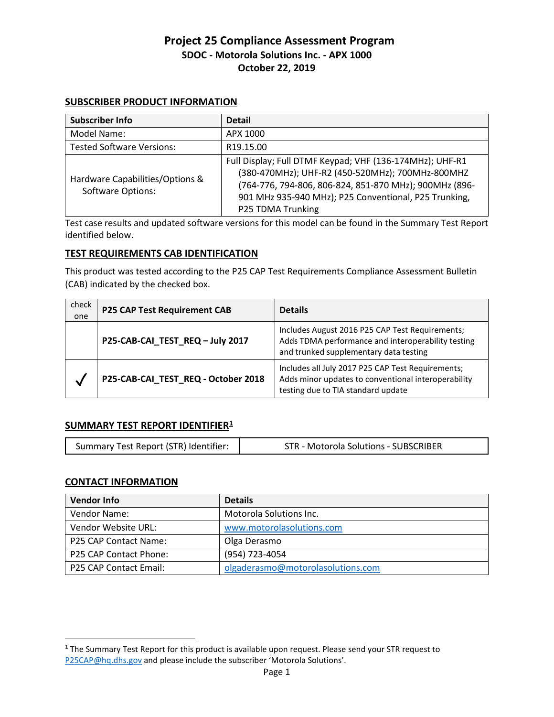### **SUBSCRIBER PRODUCT INFORMATION**

| <b>Subscriber Info</b>                                      | <b>Detail</b>                                                                                                                                                                                                                                        |
|-------------------------------------------------------------|------------------------------------------------------------------------------------------------------------------------------------------------------------------------------------------------------------------------------------------------------|
| Model Name:                                                 | APX 1000                                                                                                                                                                                                                                             |
| <b>Tested Software Versions:</b>                            | R <sub>19.15.00</sub>                                                                                                                                                                                                                                |
| Hardware Capabilities/Options &<br><b>Software Options:</b> | Full Display; Full DTMF Keypad; VHF (136-174MHz); UHF-R1<br>(380-470MHz); UHF-R2 (450-520MHz); 700MHz-800MHZ<br>(764-776, 794-806, 806-824, 851-870 MHz); 900MHz (896-<br>901 MHz 935-940 MHz); P25 Conventional, P25 Trunking,<br>P25 TDMA Trunking |

Test case results and updated software versions for this model can be found in the Summary Test Report identified below.

### **TEST REQUIREMENTS CAB IDENTIFICATION**

This product was tested according to the P25 CAP Test Requirements Compliance Assessment Bulletin (CAB) indicated by the checked box.

| check<br>one | <b>P25 CAP Test Requirement CAB</b> | <b>Details</b>                                                                                                                                  |
|--------------|-------------------------------------|-------------------------------------------------------------------------------------------------------------------------------------------------|
|              | P25-CAB-CAI_TEST_REQ-July 2017      | Includes August 2016 P25 CAP Test Requirements;<br>Adds TDMA performance and interoperability testing<br>and trunked supplementary data testing |
|              | P25-CAB-CAI_TEST_REQ - October 2018 | Includes all July 2017 P25 CAP Test Requirements;<br>Adds minor updates to conventional interoperability<br>testing due to TIA standard update  |

### **SUMMARY TEST REPORT IDENTIFIER1**

|--|

### **CONTACT INFORMATION**

| <b>Vendor Info</b>     | <b>Details</b>                    |
|------------------------|-----------------------------------|
| Vendor Name:           | Motorola Solutions Inc.           |
| Vendor Website URL:    | www.motorolasolutions.com         |
| P25 CAP Contact Name:  | Olga Derasmo                      |
| P25 CAP Contact Phone: | (954) 723-4054                    |
| P25 CAP Contact Email: | olgaderasmo@motorolasolutions.com |

<sup>&</sup>lt;sup>1</sup> The Summary Test Report for this product is available upon request. Please send your STR request to [P25CAP@hq.dhs.gov](mailto:P25CAP@hq.dhs.gov) and please include the subscriber 'Motorola Solutions'.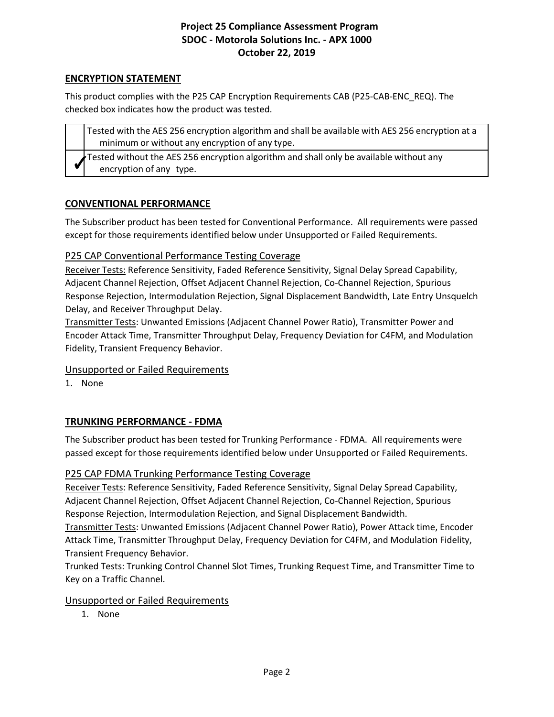### **ENCRYPTION STATEMENT**

This product complies with the P25 CAP Encryption Requirements CAB (P25-CAB-ENC\_REQ). The checked box indicates how the product was tested.

Tested with the AES 256 encryption algorithm and shall be available with AES 256 encryption at a minimum or without any encryption of any type. Tested without the AES 256 encryption algorithm and shall only be available without any encryption of any type.

## **CONVENTIONAL PERFORMANCE**

The Subscriber product has been tested for Conventional Performance. All requirements were passed except for those requirements identified below under Unsupported or Failed Requirements.

## P25 CAP Conventional Performance Testing Coverage

Receiver Tests: Reference Sensitivity, Faded Reference Sensitivity, Signal Delay Spread Capability, Adjacent Channel Rejection, Offset Adjacent Channel Rejection, Co-Channel Rejection, Spurious Response Rejection, Intermodulation Rejection, Signal Displacement Bandwidth, Late Entry Unsquelch Delay, and Receiver Throughput Delay.

Transmitter Tests: Unwanted Emissions (Adjacent Channel Power Ratio), Transmitter Power and Encoder Attack Time, Transmitter Throughput Delay, Frequency Deviation for C4FM, and Modulation Fidelity, Transient Frequency Behavior.

### Unsupported or Failed Requirements

1. None

# **TRUNKING PERFORMANCE - FDMA**

The Subscriber product has been tested for Trunking Performance - FDMA. All requirements were passed except for those requirements identified below under Unsupported or Failed Requirements.

### P25 CAP FDMA Trunking Performance Testing Coverage

Receiver Tests: Reference Sensitivity, Faded Reference Sensitivity, Signal Delay Spread Capability, Adjacent Channel Rejection, Offset Adjacent Channel Rejection, Co-Channel Rejection, Spurious Response Rejection, Intermodulation Rejection, and Signal Displacement Bandwidth.

Transmitter Tests: Unwanted Emissions (Adjacent Channel Power Ratio), Power Attack time, Encoder Attack Time, Transmitter Throughput Delay, Frequency Deviation for C4FM, and Modulation Fidelity, Transient Frequency Behavior.

Trunked Tests: Trunking Control Channel Slot Times, Trunking Request Time, and Transmitter Time to Key on a Traffic Channel.

### Unsupported or Failed Requirements

1. None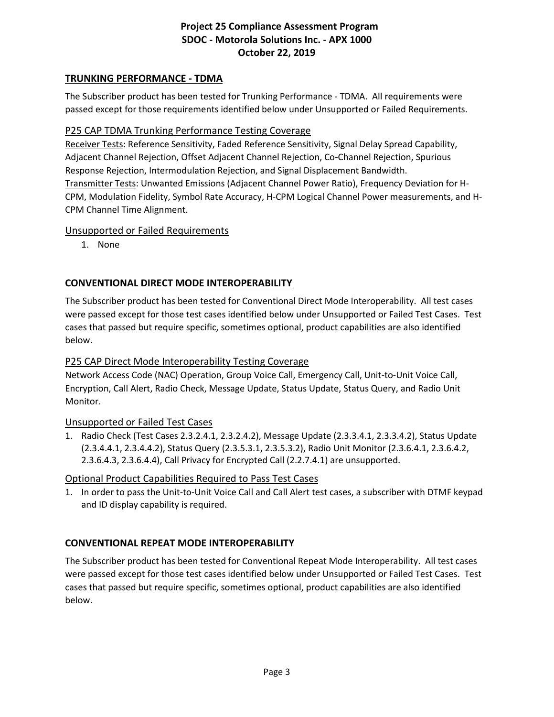## **TRUNKING PERFORMANCE - TDMA**

The Subscriber product has been tested for Trunking Performance - TDMA. All requirements were passed except for those requirements identified below under Unsupported or Failed Requirements.

### P25 CAP TDMA Trunking Performance Testing Coverage

Receiver Tests: Reference Sensitivity, Faded Reference Sensitivity, Signal Delay Spread Capability, Adjacent Channel Rejection, Offset Adjacent Channel Rejection, Co-Channel Rejection, Spurious Response Rejection, Intermodulation Rejection, and Signal Displacement Bandwidth. Transmitter Tests: Unwanted Emissions (Adjacent Channel Power Ratio), Frequency Deviation for H-CPM, Modulation Fidelity, Symbol Rate Accuracy, H-CPM Logical Channel Power measurements, and H-CPM Channel Time Alignment.

### Unsupported or Failed Requirements

1. None

## **CONVENTIONAL DIRECT MODE INTEROPERABILITY**

The Subscriber product has been tested for Conventional Direct Mode Interoperability. All test cases were passed except for those test cases identified below under Unsupported or Failed Test Cases. Test cases that passed but require specific, sometimes optional, product capabilities are also identified below.

### P25 CAP Direct Mode Interoperability Testing Coverage

Network Access Code (NAC) Operation, Group Voice Call, Emergency Call, Unit-to-Unit Voice Call, Encryption, Call Alert, Radio Check, Message Update, Status Update, Status Query, and Radio Unit Monitor.

### Unsupported or Failed Test Cases

1. Radio Check (Test Cases 2.3.2.4.1, 2.3.2.4.2), Message Update (2.3.3.4.1, 2.3.3.4.2), Status Update (2.3.4.4.1, 2.3.4.4.2), Status Query (2.3.5.3.1, 2.3.5.3.2), Radio Unit Monitor (2.3.6.4.1, 2.3.6.4.2, 2.3.6.4.3, 2.3.6.4.4), Call Privacy for Encrypted Call (2.2.7.4.1) are unsupported.

### Optional Product Capabilities Required to Pass Test Cases

1. In order to pass the Unit-to-Unit Voice Call and Call Alert test cases, a subscriber with DTMF keypad and ID display capability is required.

### **CONVENTIONAL REPEAT MODE INTEROPERABILITY**

The Subscriber product has been tested for Conventional Repeat Mode Interoperability. All test cases were passed except for those test cases identified below under Unsupported or Failed Test Cases. Test cases that passed but require specific, sometimes optional, product capabilities are also identified below.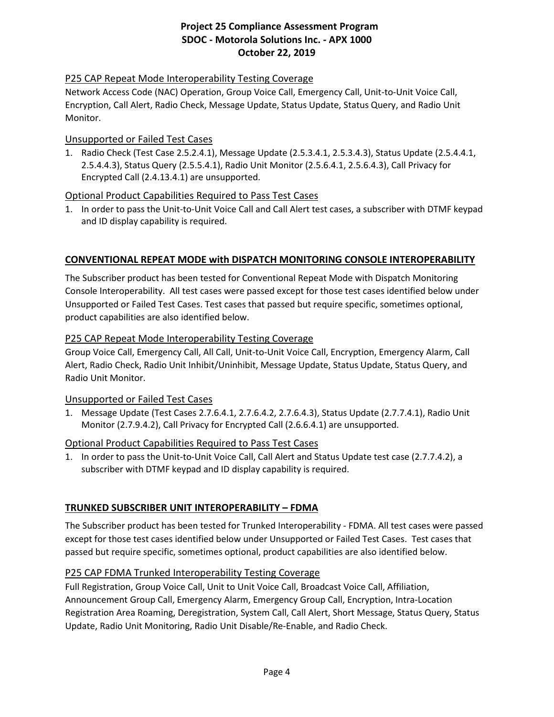## P25 CAP Repeat Mode Interoperability Testing Coverage

Network Access Code (NAC) Operation, Group Voice Call, Emergency Call, Unit-to-Unit Voice Call, Encryption, Call Alert, Radio Check, Message Update, Status Update, Status Query, and Radio Unit Monitor.

#### Unsupported or Failed Test Cases

1. Radio Check (Test Case 2.5.2.4.1), Message Update (2.5.3.4.1, 2.5.3.4.3), Status Update (2.5.4.4.1, 2.5.4.4.3), Status Query (2.5.5.4.1), Radio Unit Monitor (2.5.6.4.1, 2.5.6.4.3), Call Privacy for Encrypted Call (2.4.13.4.1) are unsupported.

### Optional Product Capabilities Required to Pass Test Cases

1. In order to pass the Unit-to-Unit Voice Call and Call Alert test cases, a subscriber with DTMF keypad and ID display capability is required.

### **CONVENTIONAL REPEAT MODE with DISPATCH MONITORING CONSOLE INTEROPERABILITY**

The Subscriber product has been tested for Conventional Repeat Mode with Dispatch Monitoring Console Interoperability. All test cases were passed except for those test cases identified below under Unsupported or Failed Test Cases. Test cases that passed but require specific, sometimes optional, product capabilities are also identified below.

#### P25 CAP Repeat Mode Interoperability Testing Coverage

Group Voice Call, Emergency Call, All Call, Unit-to-Unit Voice Call, Encryption, Emergency Alarm, Call Alert, Radio Check, Radio Unit Inhibit/Uninhibit, Message Update, Status Update, Status Query, and Radio Unit Monitor.

### Unsupported or Failed Test Cases

1. Message Update (Test Cases 2.7.6.4.1, 2.7.6.4.2, 2.7.6.4.3), Status Update (2.7.7.4.1), Radio Unit Monitor (2.7.9.4.2), Call Privacy for Encrypted Call (2.6.6.4.1) are unsupported.

### Optional Product Capabilities Required to Pass Test Cases

1. In order to pass the Unit-to-Unit Voice Call, Call Alert and Status Update test case (2.7.7.4.2), a subscriber with DTMF keypad and ID display capability is required.

### **TRUNKED SUBSCRIBER UNIT INTEROPERABILITY – FDMA**

The Subscriber product has been tested for Trunked Interoperability - FDMA. All test cases were passed except for those test cases identified below under Unsupported or Failed Test Cases. Test cases that passed but require specific, sometimes optional, product capabilities are also identified below.

### P25 CAP FDMA Trunked Interoperability Testing Coverage

Full Registration, Group Voice Call, Unit to Unit Voice Call, Broadcast Voice Call, Affiliation, Announcement Group Call, Emergency Alarm, Emergency Group Call, Encryption, Intra-Location Registration Area Roaming, Deregistration, System Call, Call Alert, Short Message, Status Query, Status Update, Radio Unit Monitoring, Radio Unit Disable/Re-Enable, and Radio Check.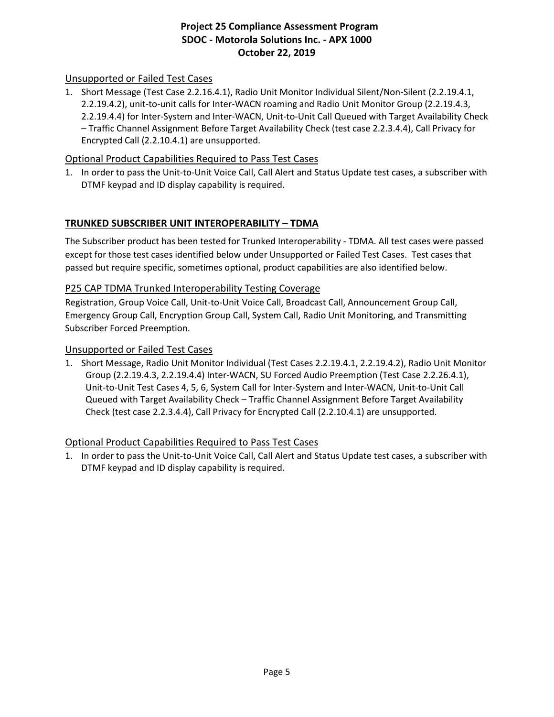## Unsupported or Failed Test Cases

1. Short Message (Test Case 2.2.16.4.1), Radio Unit Monitor Individual Silent/Non-Silent (2.2.19.4.1, 2.2.19.4.2), unit-to-unit calls for Inter-WACN roaming and Radio Unit Monitor Group (2.2.19.4.3, 2.2.19.4.4) for Inter-System and Inter-WACN, Unit-to-Unit Call Queued with Target Availability Check – Traffic Channel Assignment Before Target Availability Check (test case 2.2.3.4.4), Call Privacy for Encrypted Call (2.2.10.4.1) are unsupported.

### Optional Product Capabilities Required to Pass Test Cases

1. In order to pass the Unit-to-Unit Voice Call, Call Alert and Status Update test cases, a subscriber with DTMF keypad and ID display capability is required.

## **TRUNKED SUBSCRIBER UNIT INTEROPERABILITY – TDMA**

The Subscriber product has been tested for Trunked Interoperability - TDMA. All test cases were passed except for those test cases identified below under Unsupported or Failed Test Cases. Test cases that passed but require specific, sometimes optional, product capabilities are also identified below.

### P25 CAP TDMA Trunked Interoperability Testing Coverage

Registration, Group Voice Call, Unit-to-Unit Voice Call, Broadcast Call, Announcement Group Call, Emergency Group Call, Encryption Group Call, System Call, Radio Unit Monitoring, and Transmitting Subscriber Forced Preemption.

#### Unsupported or Failed Test Cases

1. Short Message, Radio Unit Monitor Individual (Test Cases 2.2.19.4.1, 2.2.19.4.2), Radio Unit Monitor Group (2.2.19.4.3, 2.2.19.4.4) Inter-WACN, SU Forced Audio Preemption (Test Case 2.2.26.4.1), Unit-to-Unit Test Cases 4, 5, 6, System Call for Inter-System and Inter-WACN, Unit-to-Unit Call Queued with Target Availability Check – Traffic Channel Assignment Before Target Availability Check (test case 2.2.3.4.4), Call Privacy for Encrypted Call (2.2.10.4.1) are unsupported.

### Optional Product Capabilities Required to Pass Test Cases

1. In order to pass the Unit-to-Unit Voice Call, Call Alert and Status Update test cases, a subscriber with DTMF keypad and ID display capability is required.